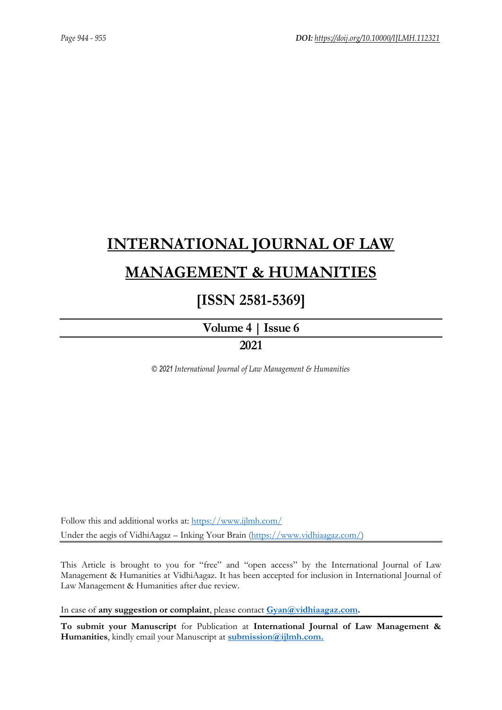# **[INTERNATIONAL JOURNAL OF LAW](https://www.ijlmh.com/)  [MANAGEMENT & HUMANITIES](https://www.ijlmh.com/)**

# **[ISSN 2581-5369]**

**[Volume 4 |](https://www.ijlmh.com/publications/volume-iv-issue-vi/) Issue 6**

# **2021**

*© 2021 International Journal of Law Management & Humanities*

Follow this and additional works at:<https://www.ijlmh.com/> Under the aegis of VidhiAagaz – Inking Your Brain [\(https://www.vidhiaagaz.com/\)](https://www.vidhiaagaz.com/)

This Article is brought to you for "free" and "open access" by the International Journal of Law Management & Humanities at VidhiAagaz. It has been accepted for inclusion in International Journal of Law Management & Humanities after due review.

In case of **any suggestion or complaint**, please contact **[Gyan@vidhiaagaz.com.](mailto:Gyan@vidhiaagaz.com)** 

**To submit your Manuscript** for Publication at **International Journal of Law Management & Humanities**, kindly email your Manuscript at **[submission@ijlmh.com.](mailto:submission@ijlmh.com)**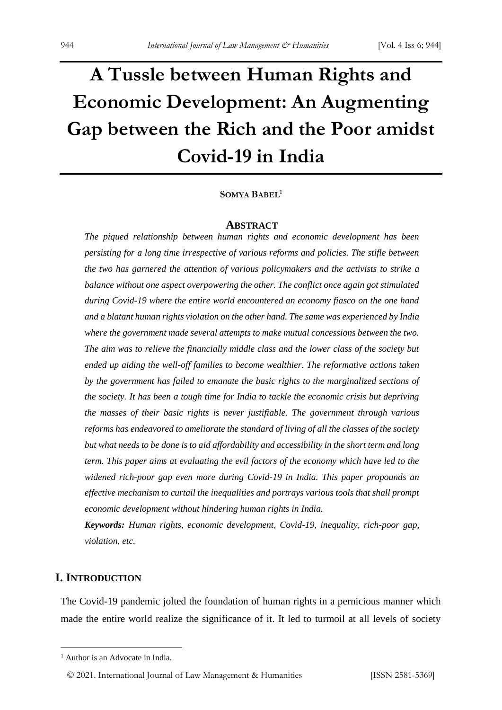# **A Tussle between Human Rights and Economic Development: An Augmenting Gap between the Rich and the Poor amidst Covid-19 in India**

# **SOMYA BABEL<sup>1</sup>**

#### **ABSTRACT**

*The piqued relationship between human rights and economic development has been persisting for a long time irrespective of various reforms and policies. The stifle between the two has garnered the attention of various policymakers and the activists to strike a balance without one aspect overpowering the other. The conflict once again got stimulated during Covid-19 where the entire world encountered an economy fiasco on the one hand and a blatant human rights violation on the other hand. The same was experienced by India where the government made several attempts to make mutual concessions between the two. The aim was to relieve the financially middle class and the lower class of the society but ended up aiding the well-off families to become wealthier. The reformative actions taken by the government has failed to emanate the basic rights to the marginalized sections of the society. It has been a tough time for India to tackle the economic crisis but depriving the masses of their basic rights is never justifiable. The government through various reforms has endeavored to ameliorate the standard of living of all the classes of the society but what needs to be done is to aid affordability and accessibility in the short term and long term. This paper aims at evaluating the evil factors of the economy which have led to the widened rich-poor gap even more during Covid-19 in India. This paper propounds an effective mechanism to curtail the inequalities and portrays various tools that shall prompt economic development without hindering human rights in India.* 

*Keywords: Human rights, economic development, Covid-19, inequality, rich-poor gap, violation, etc.*

# **I. INTRODUCTION**

The Covid-19 pandemic jolted the foundation of human rights in a pernicious manner which made the entire world realize the significance of it. It led to turmoil at all levels of society

© 2021. International Journal of [Law Management & Humanities](https://www.ijlmh.com/) [ISSN 2581-5369]

<sup>&</sup>lt;sup>1</sup> Author is an Advocate in India.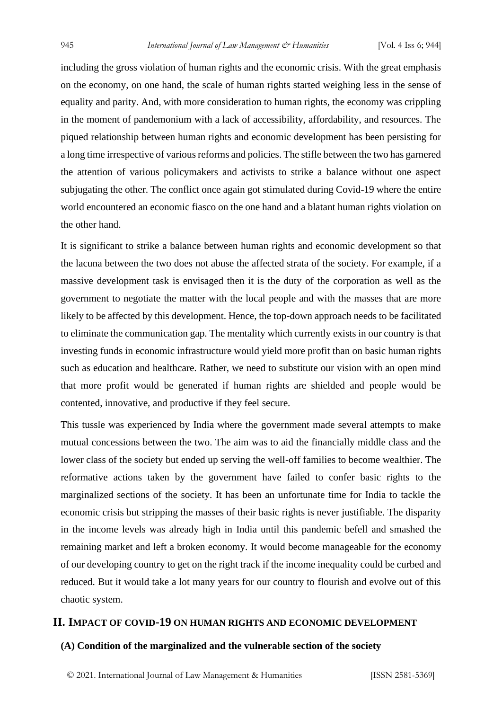including the gross violation of human rights and the economic crisis. With the great emphasis on the economy, on one hand, the scale of human rights started weighing less in the sense of equality and parity. And, with more consideration to human rights, the economy was crippling in the moment of pandemonium with a lack of accessibility, affordability, and resources. The piqued relationship between human rights and economic development has been persisting for a long time irrespective of various reforms and policies. The stifle between the two has garnered the attention of various policymakers and activists to strike a balance without one aspect subjugating the other. The conflict once again got stimulated during Covid-19 where the entire world encountered an economic fiasco on the one hand and a blatant human rights violation on the other hand.

It is significant to strike a balance between human rights and economic development so that the lacuna between the two does not abuse the affected strata of the society. For example, if a massive development task is envisaged then it is the duty of the corporation as well as the government to negotiate the matter with the local people and with the masses that are more likely to be affected by this development. Hence, the top-down approach needs to be facilitated to eliminate the communication gap. The mentality which currently exists in our country is that investing funds in economic infrastructure would yield more profit than on basic human rights such as education and healthcare. Rather, we need to substitute our vision with an open mind that more profit would be generated if human rights are shielded and people would be contented, innovative, and productive if they feel secure.

This tussle was experienced by India where the government made several attempts to make mutual concessions between the two. The aim was to aid the financially middle class and the lower class of the society but ended up serving the well-off families to become wealthier. The reformative actions taken by the government have failed to confer basic rights to the marginalized sections of the society. It has been an unfortunate time for India to tackle the economic crisis but stripping the masses of their basic rights is never justifiable. The disparity in the income levels was already high in India until this pandemic befell and smashed the remaining market and left a broken economy. It would become manageable for the economy of our developing country to get on the right track if the income inequality could be curbed and reduced. But it would take a lot many years for our country to flourish and evolve out of this chaotic system.

# **II. IMPACT OF COVID-19 ON HUMAN RIGHTS AND ECONOMIC DEVELOPMENT**

# **(A) Condition of the marginalized and the vulnerable section of the society**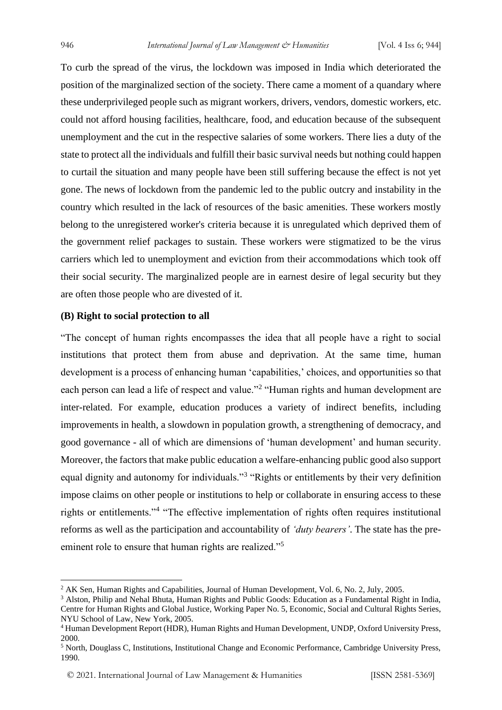To curb the spread of the virus, the lockdown was imposed in India which deteriorated the position of the marginalized section of the society. There came a moment of a quandary where these underprivileged people such as migrant workers, drivers, vendors, domestic workers, etc. could not afford housing facilities, healthcare, food, and education because of the subsequent unemployment and the cut in the respective salaries of some workers. There lies a duty of the state to protect all the individuals and fulfill their basic survival needs but nothing could happen to curtail the situation and many people have been still suffering because the effect is not yet gone. The news of lockdown from the pandemic led to the public outcry and instability in the country which resulted in the lack of resources of the basic amenities. These workers mostly belong to the unregistered worker's criteria because it is unregulated which deprived them of the government relief packages to sustain. These workers were stigmatized to be the virus carriers which led to unemployment and eviction from their accommodations which took off their social security. The marginalized people are in earnest desire of legal security but they are often those people who are divested of it.

### **(B) Right to social protection to all**

"The concept of human rights encompasses the idea that all people have a right to social institutions that protect them from abuse and deprivation. At the same time, human development is a process of enhancing human 'capabilities,' choices, and opportunities so that each person can lead a life of respect and value."<sup>2</sup> "Human rights and human development are inter-related. For example, education produces a variety of indirect benefits, including improvements in health, a slowdown in population growth, a strengthening of democracy, and good governance - all of which are dimensions of 'human development' and human security. Moreover, the factors that make public education a welfare-enhancing public good also support equal dignity and autonomy for individuals."<sup>3</sup> "Rights or entitlements by their very definition impose claims on other people or institutions to help or collaborate in ensuring access to these rights or entitlements."<sup>4</sup> "The effective implementation of rights often requires institutional reforms as well as the participation and accountability of *'duty bearers'*. The state has the preeminent role to ensure that human rights are realized."<sup>5</sup>

<sup>&</sup>lt;sup>2</sup> AK Sen, Human Rights and Capabilities, Journal of Human Development, Vol. 6, No. 2, July, 2005.

<sup>3</sup> Alston, Philip and Nehal Bhuta, Human Rights and Public Goods: Education as a Fundamental Right in India, Centre for Human Rights and Global Justice, Working Paper No. 5, Economic, Social and Cultural Rights Series, NYU School of Law, New York, 2005.

<sup>4</sup> Human Development Report (HDR), Human Rights and Human Development, UNDP, Oxford University Press, 2000.

<sup>5</sup> North, Douglass C, Institutions, Institutional Change and Economic Performance, Cambridge University Press, 1990.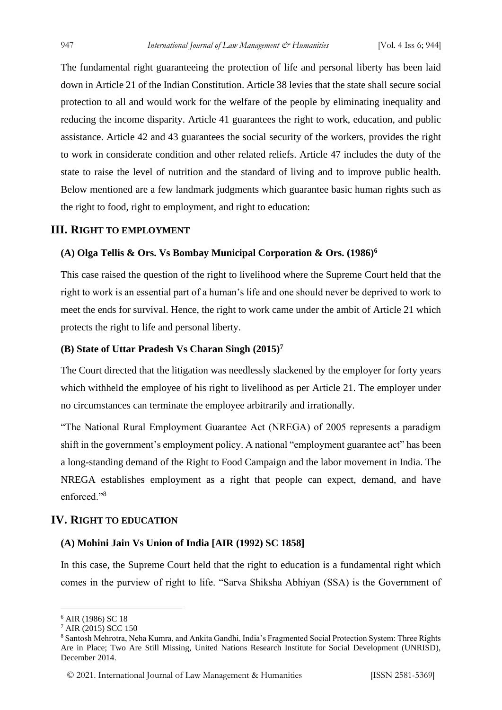The fundamental right guaranteeing the protection of life and personal liberty has been laid down in Article 21 of the Indian Constitution. Article 38 levies that the state shall secure social protection to all and would work for the welfare of the people by eliminating inequality and reducing the income disparity. Article 41 guarantees the right to work, education, and public assistance. Article 42 and 43 guarantees the social security of the workers, provides the right to work in considerate condition and other related reliefs. Article 47 includes the duty of the state to raise the level of nutrition and the standard of living and to improve public health. Below mentioned are a few landmark judgments which guarantee basic human rights such as the right to food, right to employment, and right to education:

# **III. RIGHT TO EMPLOYMENT**

# **(A) Olga Tellis & Ors. Vs Bombay Municipal Corporation & Ors. (1986)<sup>6</sup>**

This case raised the question of the right to livelihood where the Supreme Court held that the right to work is an essential part of a human's life and one should never be deprived to work to meet the ends for survival. Hence, the right to work came under the ambit of Article 21 which protects the right to life and personal liberty.

# **(B) State of Uttar Pradesh Vs Charan Singh (2015)<sup>7</sup>**

The Court directed that the litigation was needlessly slackened by the employer for forty years which withheld the employee of his right to livelihood as per Article 21. The employer under no circumstances can terminate the employee arbitrarily and irrationally.

"The National Rural Employment Guarantee Act (NREGA) of 2005 represents a paradigm shift in the government's employment policy. A national "employment guarantee act" has been a long-standing demand of the Right to Food Campaign and the labor movement in India. The NREGA establishes employment as a right that people can expect, demand, and have enforced."<sup>8</sup>

# **IV. RIGHT TO EDUCATION**

# **(A) Mohini Jain Vs Union of India [AIR (1992) SC 1858]**

In this case, the Supreme Court held that the right to education is a fundamental right which comes in the purview of right to life. "Sarva Shiksha Abhiyan (SSA) is the Government of

<sup>6</sup> AIR (1986) SC 18

<sup>7</sup> AIR (2015) SCC 150

<sup>8</sup> Santosh Mehrotra, Neha Kumra, and Ankita Gandhi, India's Fragmented Social Protection System: Three Rights Are in Place; Two Are Still Missing, United Nations Research Institute for Social Development (UNRISD), December 2014.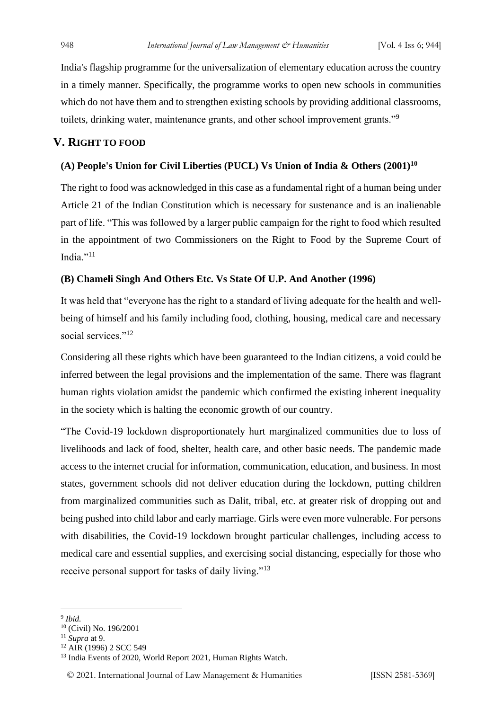India's flagship programme for the universalization of elementary education across the country in a timely manner. Specifically, the programme works to open new schools in communities which do not have them and to strengthen existing schools by providing additional classrooms, toilets, drinking water, maintenance grants, and other school improvement grants."<sup>9</sup>

# **V. RIGHT TO FOOD**

# **(A) People's Union for Civil Liberties (PUCL) Vs Union of India & Others (2001)<sup>10</sup>**

The right to food was acknowledged in this case as a fundamental right of a human being under Article 21 of the Indian Constitution which is necessary for sustenance and is an inalienable part of life. "This was followed by a larger public campaign for the right to food which resulted in the appointment of two Commissioners on the Right to Food by the Supreme Court of India $\cdot$ <sup>11</sup>

# **(B) Chameli Singh And Others Etc. Vs State Of U.P. And Another (1996)**

It was held that "everyone has the right to a standard of living adequate for the health and wellbeing of himself and his family including food, clothing, housing, medical care and necessary social services."<sup>12</sup>

Considering all these rights which have been guaranteed to the Indian citizens, a void could be inferred between the legal provisions and the implementation of the same. There was flagrant human rights violation amidst the pandemic which confirmed the existing inherent inequality in the society which is halting the economic growth of our country.

"The Covid-19 lockdown disproportionately hurt marginalized communities due to loss of livelihoods and lack of food, shelter, health care, and other basic needs. The pandemic made access to the internet crucial for information, communication, education, and business. In most states, government schools did not deliver education during the lockdown, putting children from marginalized communities such as Dalit, tribal, etc. at greater risk of dropping out and being pushed into child labor and early marriage. Girls were even more vulnerable. For persons with disabilities, the Covid-19 lockdown brought particular challenges, including access to medical care and essential supplies, and exercising social distancing, especially for those who receive personal support for tasks of daily living."<sup>13</sup>

9 *Ibid.*

<sup>10</sup> (Civil) No. 196/2001

<sup>11</sup> *Supra* at 9.

<sup>&</sup>lt;sup>12</sup> AIR (1996) 2 SCC 549

<sup>&</sup>lt;sup>13</sup> India Events of 2020, World Report 2021, Human Rights Watch.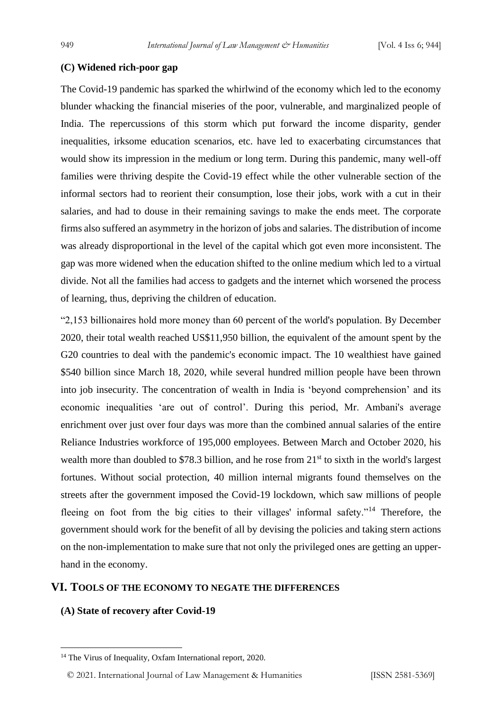# **(C) Widened rich-poor gap**

The Covid-19 pandemic has sparked the whirlwind of the economy which led to the economy blunder whacking the financial miseries of the poor, vulnerable, and marginalized people of India. The repercussions of this storm which put forward the income disparity, gender inequalities, irksome education scenarios, etc. have led to exacerbating circumstances that would show its impression in the medium or long term. During this pandemic, many well-off families were thriving despite the Covid-19 effect while the other vulnerable section of the informal sectors had to reorient their consumption, lose their jobs, work with a cut in their salaries, and had to douse in their remaining savings to make the ends meet. The corporate firms also suffered an asymmetry in the horizon of jobs and salaries. The distribution of income was already disproportional in the level of the capital which got even more inconsistent. The gap was more widened when the education shifted to the online medium which led to a virtual divide. Not all the families had access to gadgets and the internet which worsened the process of learning, thus, depriving the children of education.

"2,153 billionaires hold more money than 60 percent of the world's population. By December 2020, their total wealth reached US\$11,950 billion, the equivalent of the amount spent by the G20 countries to deal with the pandemic's economic impact. The 10 wealthiest have gained \$540 billion since March 18, 2020, while several hundred million people have been thrown into job insecurity. The concentration of wealth in India is 'beyond comprehension' and its economic inequalities 'are out of control'. During this period, Mr. Ambani's average enrichment over just over four days was more than the combined annual salaries of the entire Reliance Industries workforce of 195,000 employees. Between March and October 2020, his wealth more than doubled to \$78.3 billion, and he rose from 21<sup>st</sup> to sixth in the world's largest fortunes. Without social protection, 40 million internal migrants found themselves on the streets after the government imposed the Covid-19 lockdown, which saw millions of people fleeing on foot from the big cities to their villages' informal safety."<sup>14</sup> Therefore, the government should work for the benefit of all by devising the policies and taking stern actions on the non-implementation to make sure that not only the privileged ones are getting an upperhand in the economy.

# **VI. TOOLS OF THE ECONOMY TO NEGATE THE DIFFERENCES**

# **(A) State of recovery after Covid-19**

© 2021. International Journal of [Law Management & Humanities](https://www.ijlmh.com/) [ISSN 2581-5369]

<sup>&</sup>lt;sup>14</sup> The Virus of Inequality, Oxfam International report, 2020.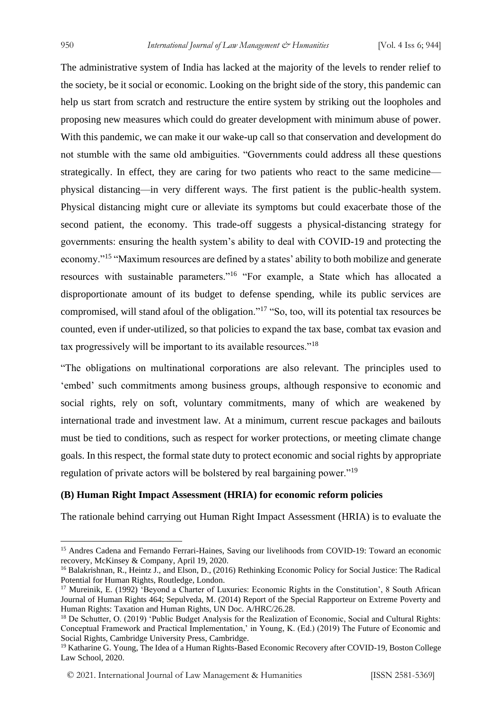The administrative system of India has lacked at the majority of the levels to render relief to the society, be it social or economic. Looking on the bright side of the story, this pandemic can help us start from scratch and restructure the entire system by striking out the loopholes and proposing new measures which could do greater development with minimum abuse of power. With this pandemic, we can make it our wake-up call so that conservation and development do not stumble with the same old ambiguities. "Governments could address all these questions strategically. In effect, they are caring for two patients who react to the same medicine physical distancing—in very different ways. The first patient is the public-health system. Physical distancing might cure or alleviate its symptoms but could exacerbate those of the second patient, the economy. This trade-off suggests a physical-distancing strategy for governments: ensuring the health system's ability to deal with COVID-19 and protecting the economy."<sup>15</sup> "Maximum resources are defined by a states' ability to both mobilize and generate resources with sustainable parameters."<sup>16</sup> "For example, a State which has allocated a disproportionate amount of its budget to defense spending, while its public services are compromised, will stand afoul of the obligation."<sup>17</sup> "So, too, will its potential tax resources be counted, even if under-utilized, so that policies to expand the tax base, combat tax evasion and tax progressively will be important to its available resources."<sup>18</sup>

"The obligations on multinational corporations are also relevant. The principles used to 'embed' such commitments among business groups, although responsive to economic and social rights, rely on soft, voluntary commitments, many of which are weakened by international trade and investment law. At a minimum, current rescue packages and bailouts must be tied to conditions, such as respect for worker protections, or meeting climate change goals. In this respect, the formal state duty to protect economic and social rights by appropriate regulation of private actors will be bolstered by real bargaining power."<sup>19</sup>

# **(B) Human Right Impact Assessment (HRIA) for economic reform policies**

The rationale behind carrying out Human Right Impact Assessment (HRIA) is to evaluate the

<sup>&</sup>lt;sup>15</sup> Andres Cadena and Fernando Ferrari-Haines, Saving our livelihoods from COVID-19: Toward an economic recovery, McKinsey & Company, April 19, 2020.

<sup>16</sup> Balakrishnan, R., Heintz J., and Elson, D., (2016) Rethinking Economic Policy for Social Justice: The Radical Potential for Human Rights, Routledge, London.

<sup>&</sup>lt;sup>17</sup> Mureinik, E. (1992) 'Beyond a Charter of Luxuries: Economic Rights in the Constitution', 8 South African Journal of Human Rights 464; Sepulveda, M. (2014) Report of the Special Rapporteur on Extreme Poverty and Human Rights: Taxation and Human Rights, UN Doc. A/HRC/26.28.

<sup>&</sup>lt;sup>18</sup> De Schutter, O. (2019) 'Public Budget Analysis for the Realization of Economic, Social and Cultural Rights: Conceptual Framework and Practical Implementation,' in Young, K. (Ed.) (2019) The Future of Economic and Social Rights, Cambridge University Press, Cambridge.

<sup>&</sup>lt;sup>19</sup> Katharine G. Young, The Idea of a Human Rights-Based Economic Recovery after COVID-19, Boston College Law School, 2020.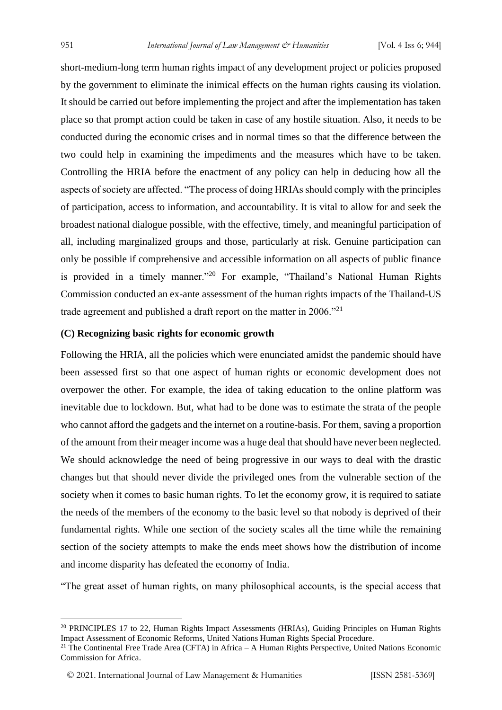short-medium-long term human rights impact of any development project or policies proposed by the government to eliminate the inimical effects on the human rights causing its violation. It should be carried out before implementing the project and after the implementation has taken place so that prompt action could be taken in case of any hostile situation. Also, it needs to be conducted during the economic crises and in normal times so that the difference between the two could help in examining the impediments and the measures which have to be taken. Controlling the HRIA before the enactment of any policy can help in deducing how all the aspects of society are affected. "The process of doing HRIAs should comply with the principles of participation, access to information, and accountability. It is vital to allow for and seek the broadest national dialogue possible, with the effective, timely, and meaningful participation of all, including marginalized groups and those, particularly at risk. Genuine participation can only be possible if comprehensive and accessible information on all aspects of public finance is provided in a timely manner."<sup>20</sup> For example, "Thailand's National Human Rights Commission conducted an ex-ante assessment of the human rights impacts of the Thailand-US trade agreement and published a draft report on the matter in 2006."<sup>21</sup>

# **(C) Recognizing basic rights for economic growth**

Following the HRIA, all the policies which were enunciated amidst the pandemic should have been assessed first so that one aspect of human rights or economic development does not overpower the other. For example, the idea of taking education to the online platform was inevitable due to lockdown. But, what had to be done was to estimate the strata of the people who cannot afford the gadgets and the internet on a routine-basis. For them, saving a proportion of the amount from their meager income was a huge deal that should have never been neglected. We should acknowledge the need of being progressive in our ways to deal with the drastic changes but that should never divide the privileged ones from the vulnerable section of the society when it comes to basic human rights. To let the economy grow, it is required to satiate the needs of the members of the economy to the basic level so that nobody is deprived of their fundamental rights. While one section of the society scales all the time while the remaining section of the society attempts to make the ends meet shows how the distribution of income and income disparity has defeated the economy of India.

"The great asset of human rights, on many philosophical accounts, is the special access that

<sup>&</sup>lt;sup>20</sup> PRINCIPLES 17 to 22, Human Rights Impact Assessments (HRIAs), Guiding Principles on Human Rights Impact Assessment of Economic Reforms, United Nations Human Rights Special Procedure.

<sup>&</sup>lt;sup>21</sup> The Continental Free Trade Area (CFTA) in Africa – A Human Rights Perspective, United Nations Economic Commission for Africa.

<sup>© 2021.</sup> International Journal of [Law Management & Humanities](https://www.ijlmh.com/) [ISSN 2581-5369]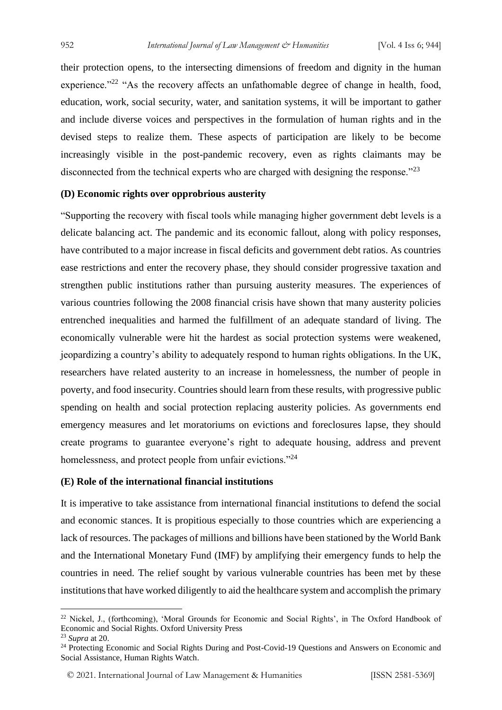their protection opens, to the intersecting dimensions of freedom and dignity in the human experience."<sup>22</sup> "As the recovery affects an unfathomable degree of change in health, food, education, work, social security, water, and sanitation systems, it will be important to gather and include diverse voices and perspectives in the formulation of human rights and in the devised steps to realize them. These aspects of participation are likely to be become increasingly visible in the post-pandemic recovery, even as rights claimants may be disconnected from the technical experts who are charged with designing the response."<sup>23</sup>

# **(D) Economic rights over opprobrious austerity**

"Supporting the recovery with fiscal tools while managing higher government debt levels is a delicate balancing act. The pandemic and its economic fallout, along with policy responses, have contributed to a major increase in fiscal deficits and government debt ratios. As countries ease restrictions and enter the recovery phase, they should consider progressive taxation and strengthen public institutions rather than pursuing austerity measures. The experiences of various countries following the 2008 financial crisis have shown that many austerity policies entrenched inequalities and harmed the fulfillment of an adequate standard of living. The economically vulnerable were hit the hardest as social protection systems were weakened, jeopardizing a country's ability to adequately respond to human rights obligations. In the UK, researchers have related austerity to an increase in homelessness, the number of people in poverty, and food insecurity. Countries should learn from these results, with progressive public spending on health and social protection replacing austerity policies. As governments end emergency measures and let moratoriums on evictions and foreclosures lapse, they should create programs to guarantee everyone's right to adequate housing, address and prevent homelessness, and protect people from unfair evictions."<sup>24</sup>

### **(E) Role of the international financial institutions**

It is imperative to take assistance from international financial institutions to defend the social and economic stances. It is propitious especially to those countries which are experiencing a lack of resources. The packages of millions and billions have been stationed by the World Bank and the International Monetary Fund (IMF) by amplifying their emergency funds to help the countries in need. The relief sought by various vulnerable countries has been met by these institutions that have worked diligently to aid the healthcare system and accomplish the primary

<sup>&</sup>lt;sup>22</sup> Nickel, J., (forthcoming), 'Moral Grounds for Economic and Social Rights', in The Oxford Handbook of Economic and Social Rights. Oxford University Press

<sup>23</sup> *Supra* at 20.

<sup>&</sup>lt;sup>24</sup> Protecting Economic and Social Rights During and Post-Covid-19 Questions and Answers on Economic and Social Assistance, Human Rights Watch.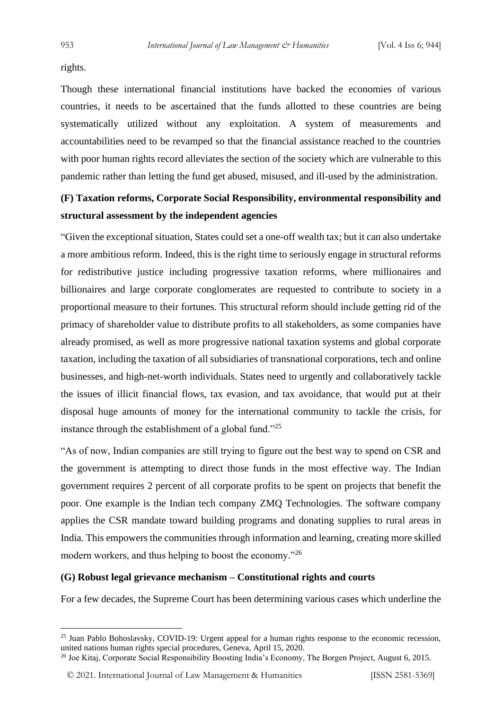rights.

Though these international financial institutions have backed the economies of various countries, it needs to be ascertained that the funds allotted to these countries are being systematically utilized without any exploitation. A system of measurements and accountabilities need to be revamped so that the financial assistance reached to the countries with poor human rights record alleviates the section of the society which are vulnerable to this pandemic rather than letting the fund get abused, misused, and ill-used by the administration.

# **(F) Taxation reforms, Corporate Social Responsibility, environmental responsibility and structural assessment by the independent agencies**

"Given the exceptional situation, States could set a one-off wealth tax; but it can also undertake a more ambitious reform. Indeed, this is the right time to seriously engage in structural reforms for redistributive justice including progressive taxation reforms, where millionaires and billionaires and large corporate conglomerates are requested to contribute to society in a proportional measure to their fortunes. This structural reform should include getting rid of the primacy of shareholder value to distribute profits to all stakeholders, as some companies have already promised, as well as more progressive national taxation systems and global corporate taxation, including the taxation of all subsidiaries of transnational corporations, tech and online businesses, and high-net-worth individuals. States need to urgently and collaboratively tackle the issues of illicit financial flows, tax evasion, and tax avoidance, that would put at their disposal huge amounts of money for the international community to tackle the crisis, for instance through the establishment of a global fund."<sup>25</sup>

"As of now, Indian companies are still trying to figure out the best way to spend on CSR and the government is attempting to direct those funds in the most effective way. The Indian government requires 2 percent of all corporate profits to be spent on projects that benefit the poor. One example is the Indian tech company ZMQ Technologies. The software company applies the CSR mandate toward building programs and donating supplies to rural areas in India. This empowers the communities through information and learning, creating more skilled modern workers, and thus helping to boost the economy."<sup>26</sup>

# **(G) Robust legal grievance mechanism – Constitutional rights and courts**

For a few decades, the Supreme Court has been determining various cases which underline the

© 2021. International Journal of [Law Management & Humanities](https://www.ijlmh.com/) [ISSN 2581-5369]

<sup>&</sup>lt;sup>25</sup> Juan Pablo Bohoslavsky, COVID-19: Urgent appeal for a human rights response to the economic recession, united nations human rights special procedures, Geneva, April 15, 2020.

<sup>26</sup> Joe Kitaj, Corporate Social Responsibility Boosting India's Economy, The Borgen Project, August 6, 2015.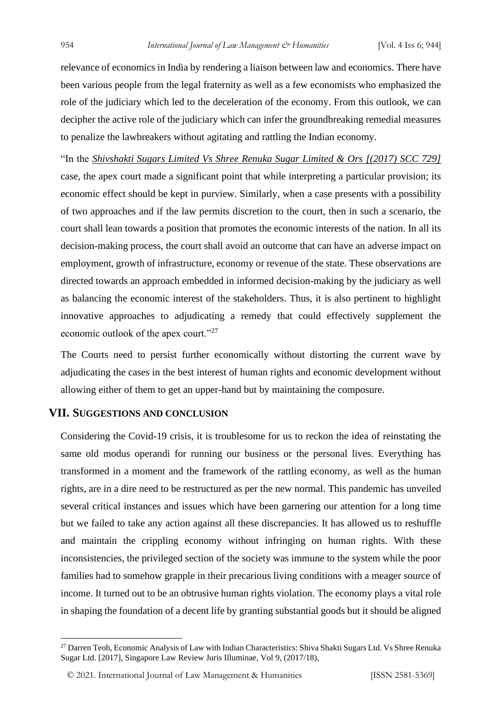relevance of economics in India by rendering a liaison between law and economics. There have been various people from the legal fraternity as well as a few economists who emphasized the role of the judiciary which led to the deceleration of the economy. From this outlook, we can decipher the active role of the judiciary which can infer the groundbreaking remedial measures to penalize the lawbreakers without agitating and rattling the Indian economy.

"In the *Shivshakti Sugars Limited Vs Shree Renuka Sugar Limited & Ors [(2017) SCC 729]* case, the apex court made a significant point that while interpreting a particular provision; its economic effect should be kept in purview. Similarly, when a case presents with a possibility of two approaches and if the law permits discretion to the court, then in such a scenario, the court shall lean towards a position that promotes the economic interests of the nation. In all its decision-making process, the court shall avoid an outcome that can have an adverse impact on employment, growth of infrastructure, economy or revenue of the state. These observations are directed towards an approach embedded in informed decision-making by the judiciary as well as balancing the economic interest of the stakeholders. Thus, it is also pertinent to highlight innovative approaches to adjudicating a remedy that could effectively supplement the economic outlook of the apex court."<sup>27</sup>

The Courts need to persist further economically without distorting the current wave by adjudicating the cases in the best interest of human rights and economic development without allowing either of them to get an upper-hand but by maintaining the composure.

# **VII. SUGGESTIONS AND CONCLUSION**

Considering the Covid-19 crisis, it is troublesome for us to reckon the idea of reinstating the same old modus operandi for running our business or the personal lives. Everything has transformed in a moment and the framework of the rattling economy, as well as the human rights, are in a dire need to be restructured as per the new normal. This pandemic has unveiled several critical instances and issues which have been garnering our attention for a long time but we failed to take any action against all these discrepancies. It has allowed us to reshuffle and maintain the crippling economy without infringing on human rights. With these inconsistencies, the privileged section of the society was immune to the system while the poor families had to somehow grapple in their precarious living conditions with a meager source of income. It turned out to be an obtrusive human rights violation. The economy plays a vital role in shaping the foundation of a decent life by granting substantial goods but it should be aligned

<sup>&</sup>lt;sup>27</sup> Darren Teoh, Economic Analysis of Law with Indian Characteristics: Shiva Shakti Sugars Ltd. Vs Shree Renuka Sugar Ltd. [2017], Singapore Law Review Juris Illuminae, Vol 9, (2017/18),